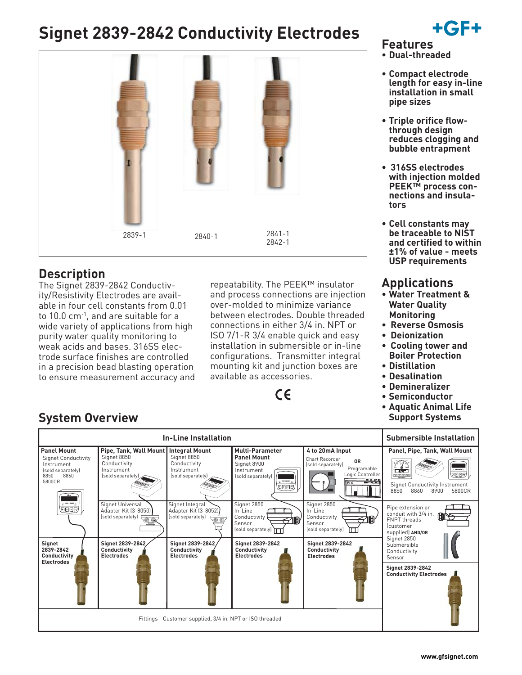# **Signet 2839-2842 Conductivity Electrodes**



### **Description**

The Signet 2839-2842 Conductivity/Resistivity Electrodes are available in four cell constants from 0.01 to 10.0 cm<sup>-1</sup>, and are suitable for a wide variety of applications from high purity water quality monitoring to weak acids and bases. 316SS electrode surface finishes are controlled in a precision bead blasting operation to ensure measurement accuracy and repeatability. The PEEK™ insulator and process connections are injection over-molded to minimize variance between electrodes. Double threaded connections in either 3/4 in. NPT or ISO 7/1-R 3/4 enable quick and easy installation in submersible or in-line configurations. Transmitter integral mounting kit and junction boxes are available as accessories.

# $\epsilon$

- **Features**
- **Dual-threaded**
- **Compact electrode length for easy in-line installation in small pipe sizes**
- **Triple orifice flowthrough design reduces clogging and bubble entrapment**
- **316SS electrodes with injection molded PEEK™ process connections and insulators**
- **Cell constants may be traceable to NIST and certified to within ±1% of value - meets USP requirements**

### **Applications**

- **Water Treatment & Water Quality Monitoring**
- **Reverse Osmosis**
- **Deionization**
- **Cooling tower and Boiler Protection**
- **Distillation**
- **Desalination**
- **Demineralizer**
- **Semiconductor**
- **Aquatic Animal Life Support Systems**

|                                                                                                               | <b>Submersible Installation</b>                                                                                        |                                                                                                                       |                                                                                                                                    |                                                                                                                                               |                                                                                                                                                                                 |
|---------------------------------------------------------------------------------------------------------------|------------------------------------------------------------------------------------------------------------------------|-----------------------------------------------------------------------------------------------------------------------|------------------------------------------------------------------------------------------------------------------------------------|-----------------------------------------------------------------------------------------------------------------------------------------------|---------------------------------------------------------------------------------------------------------------------------------------------------------------------------------|
| <b>Panel Mount</b><br><b>Signet Conductivity</b><br>Instrument<br>(sold separately)<br>8850<br>8860<br>5800CR | Pipe, Tank, Wall Mount   Integral Mount<br>Signet 8850<br>Conductivity<br>Instrument<br>[sold separately]              | Signet 8850<br>Conductivity<br>Instrument<br>(sold separately)                                                        | <b>Multi-Parameter</b><br><b>Panel Mount</b><br>Signet 8900<br>Instrument<br>(sold separately)<br>$6$ = $-$ 515 MET<br><b>@DDD</b> | 4 to 20mA Input<br>Chart Recorder<br>0R<br>(sold separately)<br>Programable<br>Logic Controller<br>8888<br><b>PLC</b><br>- 000                | Panel, Pipe, Tank, Wall Mount<br>$_{\odot}$ -ce-steet $_{\odot}$<br>- संस्कृत<br><b>QDDD</b><br>지지지도<br><b>Signet Conductivity Instrument</b><br>8850<br>8860<br>5800CR<br>8900 |
| $\circ$ +or- gover $\circ$<br>\@@@E<br>Signet<br>2839-2842<br>Conductivity                                    | Signet Universal<br>Adapter Kit (3-8050)<br>(sold separately)<br>Signet 2839-2842<br>Conductivity<br><b>Electrodes</b> | Signet Integral<br>Adapter Kit (3-8052)<br>(sold separately)<br>Signet 2839-2842<br>Conductivity<br><b>Electrodes</b> | Signet 2850<br>In-Line<br>Conductivity<br>Sensor<br>(sold separately) 1<br>Signet 2839-2842<br>Conductivity<br><b>Electrodes</b>   | Signet 2850<br>In-Line<br>Conductivity<br>TEHY<br>Sensor<br>(sold separately)<br><b>Signet 2839-2842</b><br>Conductivity<br><b>Electrodes</b> | Pipe extension or<br>conduit with 3/4 in.<br>1912<br><b>FNPT threads</b><br><i><u>Customer</u></i><br>supplied) AND/OR<br>Signet 2850<br>Submersible<br>Conductivity<br>Sensor  |
| <b>Electrodes</b>                                                                                             |                                                                                                                        | Fittings - Customer supplied, 3/4 in. NPT or ISO threaded                                                             |                                                                                                                                    |                                                                                                                                               | <b>Signet 2839-2842</b><br><b>Conductivity Electrodes</b>                                                                                                                       |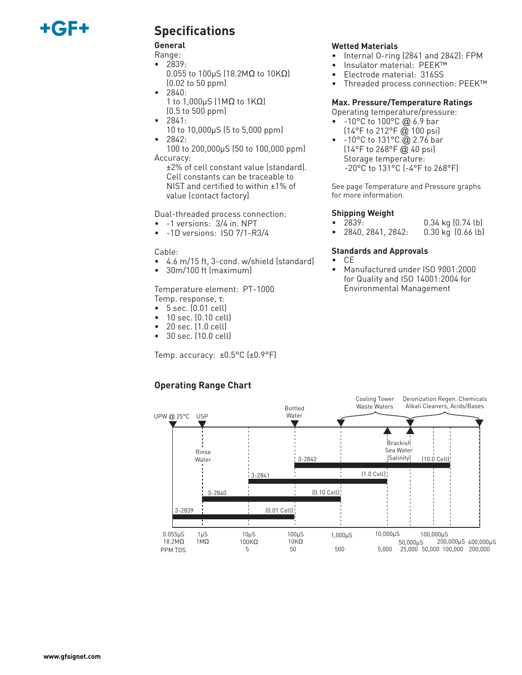# +6F

### **Specifications**

#### **General**

- Range: • 2839:
	- 0.055 to 100µS (18.2MΩ to 10KΩ) (0.02 to 50 ppm)
- 2840:
- 1 to 1,000µS (1MΩ to 1KΩ) (0.5 to 500 ppm)
- 2841:
- 10 to 10,000µS (5 to 5,000 ppm) • 2842:
- 100 to 200,000µS (50 to 100,000 ppm) Accuracy:
	- ±2% of cell constant value (standard). Cell constants can be traceable to NIST and certified to within ±1% of value (contact factory)

Dual-threaded process connection:

- -1 versions: 3/4 in. NPT
- -1D versions: ISO 7/1-R3/4

#### Cable:

- 4.6 m/15 ft, 3-cond. w/shield (standard)
- 30m/100 ft (maximum)

Temperature element: PT-1000 Temp. response, τ:

- 5 sec. (0.01 cell)
- 10 sec. (0.10 cell)
- 20 sec. (1.0 cell)
- 30 sec. (10.0 cell)

Temp. accuracy:  $\pm 0.5^{\circ}$ C ( $\pm 0.9^{\circ}$ F)

#### **Wetted Materials**

- Internal O-ring (2841 and 2842): FPM
- Insulator material: PEEK™
- Electrode material: 316SS
- Threaded process connection: PEEK™

#### **Max. Pressure/Temperature Ratings**

Operating temperature/pressure:

- $-10^{\circ}$ C to  $100^{\circ}$ C @ 6.9 bar (14°F to 212°F @ 100 psi)
- -10°C to 131°C @ 2.76 bar  $(14^{\circ}$ F to 268°F @ 40 psi) Storage temperature: -20°C to 131°C (-4°F to 268°F)

See page Temperature and Pressure graphs for more information.

#### **Shipping Weight**

- 2839: 0.34 kg (0.74 lb)
- 2840, 2841, 2842: 0.30 kg (0.66 lb)

#### **Standards and Approvals**

- CE
	- Manufactured under ISO 9001:2000 for Quality and ISO 14001:2004 for Environmental Management



### **Operating Range Chart**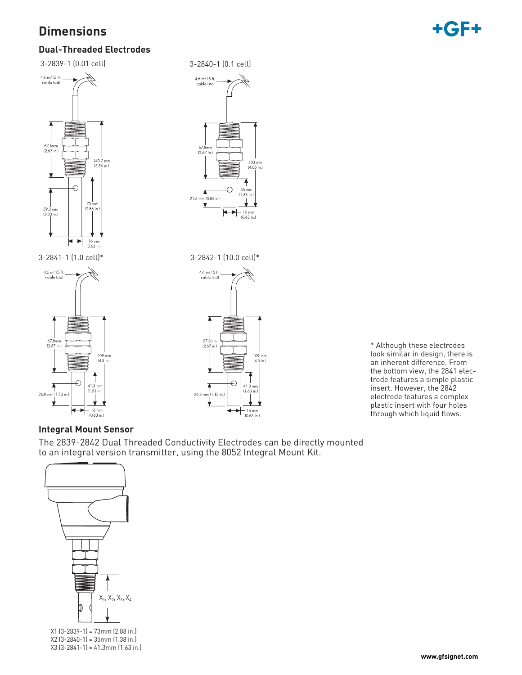## **Dimensions**



### **Dual-Threaded Electrodes**

3-2839-1 (0.01 cell) 3-2840-1 (0.1 cell)









\* Although these electrodes look similar in design, there is an inherent difference. From the bottom view, the 2841 electrode features a simple plastic insert. However, the 2842 electrode features a complex plastic insert with four holes through which liquid flows.

#### **Integral Mount Sensor**

The 2839-2842 Dual Threaded Conductivity Electrodes can be directly mounted to an integral version transmitter, using the 8052 Integral Mount Kit.



X1 (3-2839-1) = 73mm (2.88 in.) X2 (3-2840-1) = 35mm (1.38 in.) X3 (3-2841-1) = 41.3mm (1.63 in.)